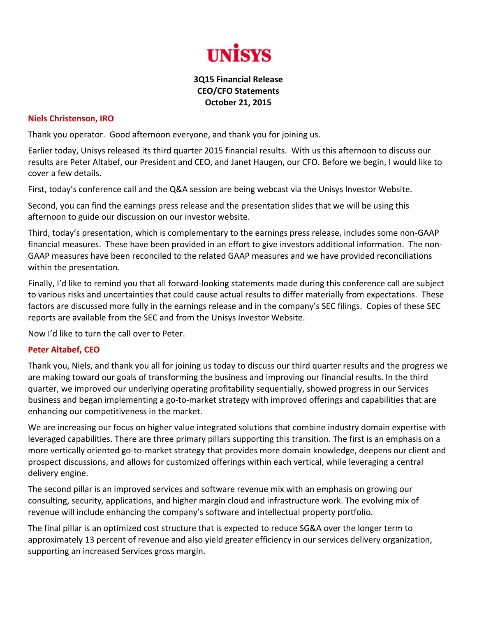

## **3Q15 Financial Release CEO/CFO Statements October 21, 2015**

## **Niels Christenson, IRO**

Thank you operator. Good afternoon everyone, and thank you for joining us.

Earlier today, Unisys released its third quarter 2015 financial results. With us this afternoon to discuss our results are Peter Altabef, our President and CEO, and Janet Haugen, our CFO. Before we begin, I would like to cover a few details.

First, today's conference call and the Q&A session are being webcast via the Unisys Investor Website.

Second, you can find the earnings press release and the presentation slides that we will be using this afternoon to guide our discussion on our investor website.

Third, today's presentation, which is complementary to the earnings press release, includes some non‐GAAP financial measures. These have been provided in an effort to give investors additional information. The non‐ GAAP measures have been reconciled to the related GAAP measures and we have provided reconciliations within the presentation.

Finally, I'd like to remind you that all forward‐looking statements made during this conference call are subject to various risks and uncertainties that could cause actual results to differ materially from expectations. These factors are discussed more fully in the earnings release and in the company's SEC filings. Copies of these SEC reports are available from the SEC and from the Unisys Investor Website.

Now I'd like to turn the call over to Peter.

## **Peter Altabef, CEO**

Thank you, Niels, and thank you all for joining us today to discuss our third quarter results and the progress we are making toward our goals of transforming the business and improving our financial results. In the third quarter, we improved our underlying operating profitability sequentially, showed progress in our Services business and began implementing a go‐to‐market strategy with improved offerings and capabilities that are enhancing our competitiveness in the market.

We are increasing our focus on higher value integrated solutions that combine industry domain expertise with leveraged capabilities. There are three primary pillars supporting this transition. The first is an emphasis on a more vertically oriented go‐to‐market strategy that provides more domain knowledge, deepens our client and prospect discussions, and allows for customized offerings within each vertical, while leveraging a central delivery engine.

The second pillar is an improved services and software revenue mix with an emphasis on growing our consulting, security, applications, and higher margin cloud and infrastructure work. The evolving mix of revenue will include enhancing the company's software and intellectual property portfolio.

The final pillar is an optimized cost structure that is expected to reduce SG&A over the longer term to approximately 13 percent of revenue and also yield greater efficiency in our services delivery organization, supporting an increased Services gross margin.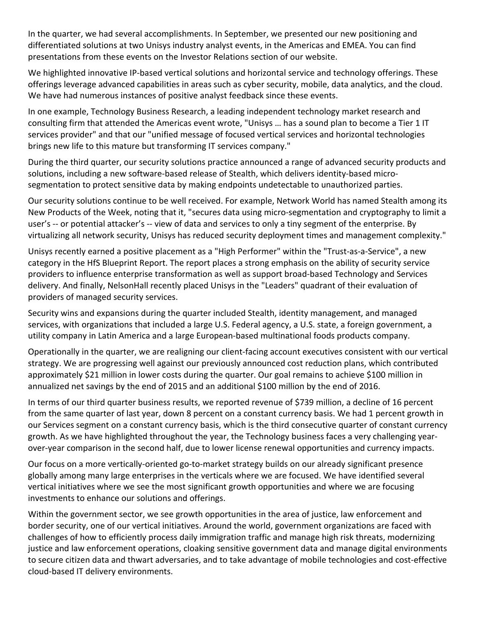In the quarter, we had several accomplishments. In September, we presented our new positioning and differentiated solutions at two Unisys industry analyst events, in the Americas and EMEA. You can find presentations from these events on the Investor Relations section of our website.

We highlighted innovative IP-based vertical solutions and horizontal service and technology offerings. These offerings leverage advanced capabilities in areas such as cyber security, mobile, data analytics, and the cloud. We have had numerous instances of positive analyst feedback since these events.

In one example, Technology Business Research, a leading independent technology market research and consulting firm that attended the Americas event wrote, "Unisys … has a sound plan to become a Tier 1 IT services provider" and that our "unified message of focused vertical services and horizontal technologies brings new life to this mature but transforming IT services company."

During the third quarter, our security solutions practice announced a range of advanced security products and solutions, including a new software‐based release of Stealth, which delivers identity‐based micro‐ segmentation to protect sensitive data by making endpoints undetectable to unauthorized parties.

Our security solutions continue to be well received. For example, Network World has named Stealth among its New Products of the Week, noting that it, "secures data using micro‐segmentation and cryptography to limit a user's ‐‐ or potential attacker's ‐‐ view of data and services to only a tiny segment of the enterprise. By virtualizing all network security, Unisys has reduced security deployment times and management complexity."

Unisys recently earned a positive placement as a "High Performer" within the "Trust‐as‐a‐Service", a new category in the HfS Blueprint Report. The report places a strong emphasis on the ability of security service providers to influence enterprise transformation as well as support broad‐based Technology and Services delivery. And finally, NelsonHall recently placed Unisys in the "Leaders" quadrant of their evaluation of providers of managed security services.

Security wins and expansions during the quarter included Stealth, identity management, and managed services, with organizations that included a large U.S. Federal agency, a U.S. state, a foreign government, a utility company in Latin America and a large European‐based multinational foods products company.

Operationally in the quarter, we are realigning our client‐facing account executives consistent with our vertical strategy. We are progressing well against our previously announced cost reduction plans, which contributed approximately \$21 million in lower costs during the quarter. Our goal remains to achieve \$100 million in annualized net savings by the end of 2015 and an additional \$100 million by the end of 2016.

In terms of our third quarter business results, we reported revenue of \$739 million, a decline of 16 percent from the same quarter of last year, down 8 percent on a constant currency basis. We had 1 percent growth in our Services segment on a constant currency basis, which is the third consecutive quarter of constant currency growth. As we have highlighted throughout the year, the Technology business faces a very challenging year‐ over‐year comparison in the second half, due to lower license renewal opportunities and currency impacts.

Our focus on a more vertically‐oriented go‐to‐market strategy builds on our already significant presence globally among many large enterprises in the verticals where we are focused. We have identified several vertical initiatives where we see the most significant growth opportunities and where we are focusing investments to enhance our solutions and offerings.

Within the government sector, we see growth opportunities in the area of justice, law enforcement and border security, one of our vertical initiatives. Around the world, government organizations are faced with challenges of how to efficiently process daily immigration traffic and manage high risk threats, modernizing justice and law enforcement operations, cloaking sensitive government data and manage digital environments to secure citizen data and thwart adversaries, and to take advantage of mobile technologies and cost‐effective cloud‐based IT delivery environments.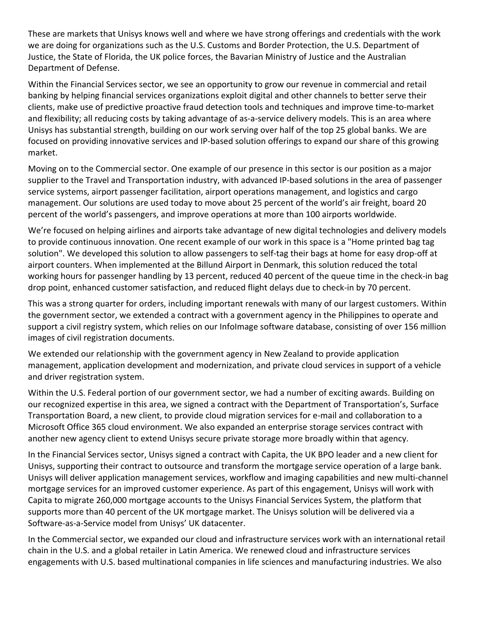These are markets that Unisys knows well and where we have strong offerings and credentials with the work we are doing for organizations such as the U.S. Customs and Border Protection, the U.S. Department of Justice, the State of Florida, the UK police forces, the Bavarian Ministry of Justice and the Australian Department of Defense.

Within the Financial Services sector, we see an opportunity to grow our revenue in commercial and retail banking by helping financial services organizations exploit digital and other channels to better serve their clients, make use of predictive proactive fraud detection tools and techniques and improve time‐to‐market and flexibility; all reducing costs by taking advantage of as‐a‐service delivery models. This is an area where Unisys has substantial strength, building on our work serving over half of the top 25 global banks. We are focused on providing innovative services and IP‐based solution offerings to expand our share of this growing market.

Moving on to the Commercial sector. One example of our presence in this sector is our position as a major supplier to the Travel and Transportation industry, with advanced IP‐based solutions in the area of passenger service systems, airport passenger facilitation, airport operations management, and logistics and cargo management. Our solutions are used today to move about 25 percent of the world's air freight, board 20 percent of the world's passengers, and improve operations at more than 100 airports worldwide.

We're focused on helping airlines and airports take advantage of new digital technologies and delivery models to provide continuous innovation. One recent example of our work in this space is a "Home printed bag tag solution". We developed this solution to allow passengers to self-tag their bags at home for easy drop-off at airport counters. When implemented at the Billund Airport in Denmark, this solution reduced the total working hours for passenger handling by 13 percent, reduced 40 percent of the queue time in the check‐in bag drop point, enhanced customer satisfaction, and reduced flight delays due to check‐in by 70 percent.

This was a strong quarter for orders, including important renewals with many of our largest customers. Within the government sector, we extended a contract with a government agency in the Philippines to operate and support a civil registry system, which relies on our InfoImage software database, consisting of over 156 million images of civil registration documents.

We extended our relationship with the government agency in New Zealand to provide application management, application development and modernization, and private cloud services in support of a vehicle and driver registration system.

Within the U.S. Federal portion of our government sector, we had a number of exciting awards. Building on our recognized expertise in this area, we signed a contract with the Department of Transportation's, Surface Transportation Board, a new client, to provide cloud migration services for e‐mail and collaboration to a Microsoft Office 365 cloud environment. We also expanded an enterprise storage services contract with another new agency client to extend Unisys secure private storage more broadly within that agency.

In the Financial Services sector, Unisys signed a contract with Capita, the UK BPO leader and a new client for Unisys, supporting their contract to outsource and transform the mortgage service operation of a large bank. Unisys will deliver application management services, workflow and imaging capabilities and new multi‐channel mortgage services for an improved customer experience. As part of this engagement, Unisys will work with Capita to migrate 260,000 mortgage accounts to the Unisys Financial Services System, the platform that supports more than 40 percent of the UK mortgage market. The Unisys solution will be delivered via a Software‐as‐a‐Service model from Unisys' UK datacenter.

In the Commercial sector, we expanded our cloud and infrastructure services work with an international retail chain in the U.S. and a global retailer in Latin America. We renewed cloud and infrastructure services engagements with U.S. based multinational companies in life sciences and manufacturing industries. We also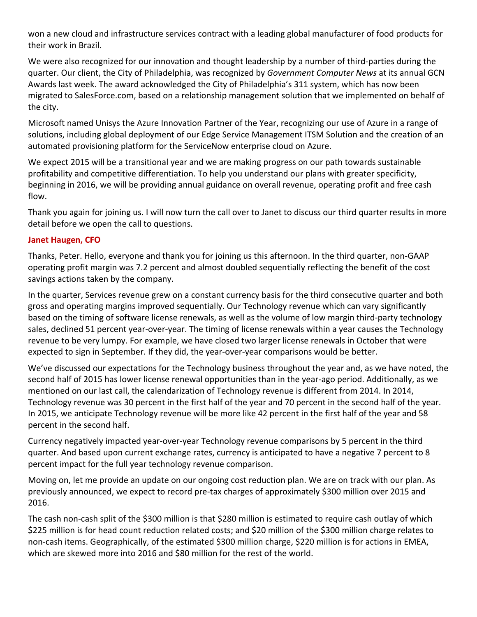won a new cloud and infrastructure services contract with a leading global manufacturer of food products for their work in Brazil.

We were also recognized for our innovation and thought leadership by a number of third-parties during the quarter. Our client, the City of Philadelphia, was recognized by *Government Computer News* at its annual GCN Awards last week. The award acknowledged the City of Philadelphia's 311 system, which has now been migrated to SalesForce.com, based on a relationship management solution that we implemented on behalf of the city.

Microsoft named Unisys the Azure Innovation Partner of the Year, recognizing our use of Azure in a range of solutions, including global deployment of our Edge Service Management ITSM Solution and the creation of an automated provisioning platform for the ServiceNow enterprise cloud on Azure.

We expect 2015 will be a transitional year and we are making progress on our path towards sustainable profitability and competitive differentiation. To help you understand our plans with greater specificity, beginning in 2016, we will be providing annual guidance on overall revenue, operating profit and free cash flow.

Thank you again for joining us. I will now turn the call over to Janet to discuss our third quarter results in more detail before we open the call to questions.

## **Janet Haugen, CFO**

Thanks, Peter. Hello, everyone and thank you for joining us this afternoon. In the third quarter, non‐GAAP operating profit margin was 7.2 percent and almost doubled sequentially reflecting the benefit of the cost savings actions taken by the company.

In the quarter, Services revenue grew on a constant currency basis for the third consecutive quarter and both gross and operating margins improved sequentially. Our Technology revenue which can vary significantly based on the timing of software license renewals, as well as the volume of low margin third‐party technology sales, declined 51 percent year‐over‐year. The timing of license renewals within a year causes the Technology revenue to be very lumpy. For example, we have closed two larger license renewals in October that were expected to sign in September. If they did, the year-over-year comparisons would be better.

We've discussed our expectations for the Technology business throughout the year and, as we have noted, the second half of 2015 has lower license renewal opportunities than in the year-ago period. Additionally, as we mentioned on our last call, the calendarization of Technology revenue is different from 2014. In 2014, Technology revenue was 30 percent in the first half of the year and 70 percent in the second half of the year. In 2015, we anticipate Technology revenue will be more like 42 percent in the first half of the year and 58 percent in the second half.

Currency negatively impacted year‐over‐year Technology revenue comparisons by 5 percent in the third quarter. And based upon current exchange rates, currency is anticipated to have a negative 7 percent to 8 percent impact for the full year technology revenue comparison.

Moving on, let me provide an update on our ongoing cost reduction plan. We are on track with our plan. As previously announced, we expect to record pre‐tax charges of approximately \$300 million over 2015 and 2016.

The cash non-cash split of the \$300 million is that \$280 million is estimated to require cash outlay of which \$225 million is for head count reduction related costs; and \$20 million of the \$300 million charge relates to non-cash items. Geographically, of the estimated \$300 million charge, \$220 million is for actions in EMEA, which are skewed more into 2016 and \$80 million for the rest of the world.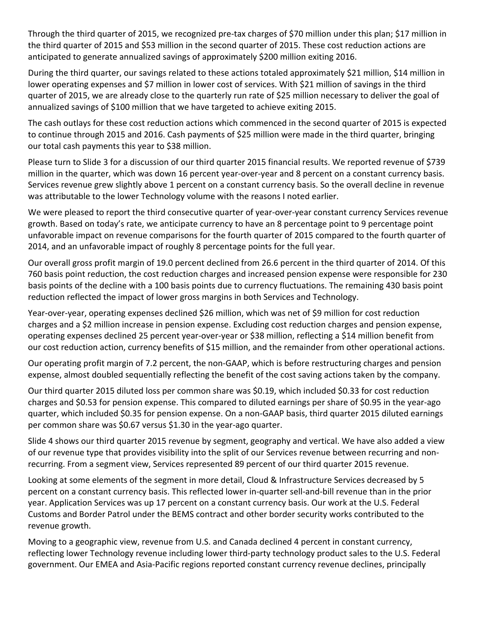Through the third quarter of 2015, we recognized pre-tax charges of \$70 million under this plan; \$17 million in the third quarter of 2015 and \$53 million in the second quarter of 2015. These cost reduction actions are anticipated to generate annualized savings of approximately \$200 million exiting 2016.

During the third quarter, our savings related to these actions totaled approximately \$21 million, \$14 million in lower operating expenses and \$7 million in lower cost of services. With \$21 million of savings in the third quarter of 2015, we are already close to the quarterly run rate of \$25 million necessary to deliver the goal of annualized savings of \$100 million that we have targeted to achieve exiting 2015.

The cash outlays for these cost reduction actions which commenced in the second quarter of 2015 is expected to continue through 2015 and 2016. Cash payments of \$25 million were made in the third quarter, bringing our total cash payments this year to \$38 million.

Please turn to Slide 3 for a discussion of our third quarter 2015 financial results. We reported revenue of \$739 million in the quarter, which was down 16 percent year-over-year and 8 percent on a constant currency basis. Services revenue grew slightly above 1 percent on a constant currency basis. So the overall decline in revenue was attributable to the lower Technology volume with the reasons I noted earlier.

We were pleased to report the third consecutive quarter of year-over-year constant currency Services revenue growth. Based on today's rate, we anticipate currency to have an 8 percentage point to 9 percentage point unfavorable impact on revenue comparisons for the fourth quarter of 2015 compared to the fourth quarter of 2014, and an unfavorable impact of roughly 8 percentage points for the full year.

Our overall gross profit margin of 19.0 percent declined from 26.6 percent in the third quarter of 2014. Of this 760 basis point reduction, the cost reduction charges and increased pension expense were responsible for 230 basis points of the decline with a 100 basis points due to currency fluctuations. The remaining 430 basis point reduction reflected the impact of lower gross margins in both Services and Technology.

Year‐over‐year, operating expenses declined \$26 million, which was net of \$9 million for cost reduction charges and a \$2 million increase in pension expense. Excluding cost reduction charges and pension expense, operating expenses declined 25 percent year‐over‐year or \$38 million, reflecting a \$14 million benefit from our cost reduction action, currency benefits of \$15 million, and the remainder from other operational actions.

Our operating profit margin of 7.2 percent, the non‐GAAP, which is before restructuring charges and pension expense, almost doubled sequentially reflecting the benefit of the cost saving actions taken by the company.

Our third quarter 2015 diluted loss per common share was \$0.19, which included \$0.33 for cost reduction charges and \$0.53 for pension expense. This compared to diluted earnings per share of \$0.95 in the year‐ago quarter, which included \$0.35 for pension expense. On a non‐GAAP basis, third quarter 2015 diluted earnings per common share was \$0.67 versus \$1.30 in the year‐ago quarter.

Slide 4 shows our third quarter 2015 revenue by segment, geography and vertical. We have also added a view of our revenue type that provides visibility into the split of our Services revenue between recurring and non‐ recurring. From a segment view, Services represented 89 percent of our third quarter 2015 revenue.

Looking at some elements of the segment in more detail, Cloud & Infrastructure Services decreased by 5 percent on a constant currency basis. This reflected lower in‐quarter sell‐and‐bill revenue than in the prior year. Application Services was up 17 percent on a constant currency basis. Our work at the U.S. Federal Customs and Border Patrol under the BEMS contract and other border security works contributed to the revenue growth.

Moving to a geographic view, revenue from U.S. and Canada declined 4 percent in constant currency, reflecting lower Technology revenue including lower third-party technology product sales to the U.S. Federal government. Our EMEA and Asia‐Pacific regions reported constant currency revenue declines, principally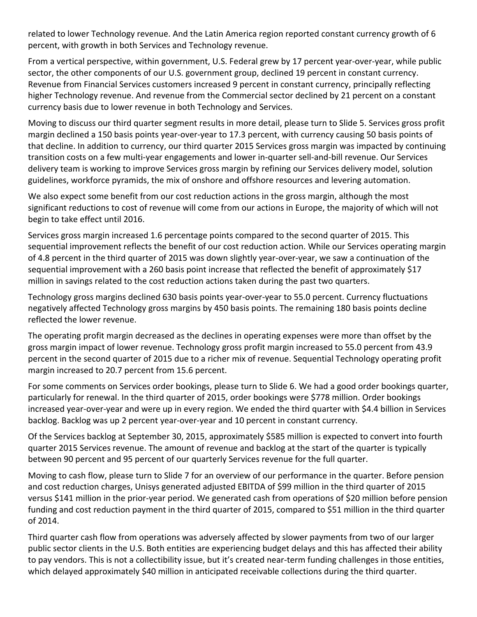related to lower Technology revenue. And the Latin America region reported constant currency growth of 6 percent, with growth in both Services and Technology revenue.

From a vertical perspective, within government, U.S. Federal grew by 17 percent year‐over‐year, while public sector, the other components of our U.S. government group, declined 19 percent in constant currency. Revenue from Financial Services customers increased 9 percent in constant currency, principally reflecting higher Technology revenue. And revenue from the Commercial sector declined by 21 percent on a constant currency basis due to lower revenue in both Technology and Services.

Moving to discuss our third quarter segment results in more detail, please turn to Slide 5. Services gross profit margin declined a 150 basis points year‐over‐year to 17.3 percent, with currency causing 50 basis points of that decline. In addition to currency, our third quarter 2015 Services gross margin was impacted by continuing transition costs on a few multi‐year engagements and lower in‐quarter sell‐and‐bill revenue. Our Services delivery team is working to improve Services gross margin by refining our Services delivery model, solution guidelines, workforce pyramids, the mix of onshore and offshore resources and levering automation.

We also expect some benefit from our cost reduction actions in the gross margin, although the most significant reductions to cost of revenue will come from our actions in Europe, the majority of which will not begin to take effect until 2016.

Services gross margin increased 1.6 percentage points compared to the second quarter of 2015. This sequential improvement reflects the benefit of our cost reduction action. While our Services operating margin of 4.8 percent in the third quarter of 2015 was down slightly year‐over‐year, we saw a continuation of the sequential improvement with a 260 basis point increase that reflected the benefit of approximately \$17 million in savings related to the cost reduction actions taken during the past two quarters.

Technology gross margins declined 630 basis points year‐over‐year to 55.0 percent. Currency fluctuations negatively affected Technology gross margins by 450 basis points. The remaining 180 basis points decline reflected the lower revenue.

The operating profit margin decreased as the declines in operating expenses were more than offset by the gross margin impact of lower revenue. Technology gross profit margin increased to 55.0 percent from 43.9 percent in the second quarter of 2015 due to a richer mix of revenue. Sequential Technology operating profit margin increased to 20.7 percent from 15.6 percent.

For some comments on Services order bookings, please turn to Slide 6. We had a good order bookings quarter, particularly for renewal. In the third quarter of 2015, order bookings were \$778 million. Order bookings increased year‐over‐year and were up in every region. We ended the third quarter with \$4.4 billion in Services backlog. Backlog was up 2 percent year‐over‐year and 10 percent in constant currency.

Of the Services backlog at September 30, 2015, approximately \$585 million is expected to convert into fourth quarter 2015 Services revenue. The amount of revenue and backlog at the start of the quarter is typically between 90 percent and 95 percent of our quarterly Services revenue for the full quarter.

Moving to cash flow, please turn to Slide 7 for an overview of our performance in the quarter. Before pension and cost reduction charges, Unisys generated adjusted EBITDA of \$99 million in the third quarter of 2015 versus \$141 million in the prior‐year period. We generated cash from operations of \$20 million before pension funding and cost reduction payment in the third quarter of 2015, compared to \$51 million in the third quarter of 2014.

Third quarter cash flow from operations was adversely affected by slower payments from two of our larger public sector clients in the U.S. Both entities are experiencing budget delays and this has affected their ability to pay vendors. This is not a collectibility issue, but it's created near-term funding challenges in those entities, which delayed approximately \$40 million in anticipated receivable collections during the third quarter.